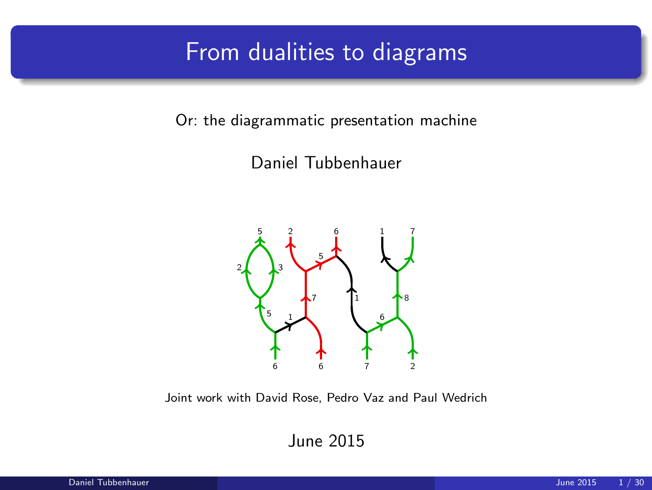### From dualities to diagrams

Or: the diagrammatic presentation machine

Daniel Tubbenhauer



Joint work with David Rose, Pedro Vaz and Paul Wedrich

June 2015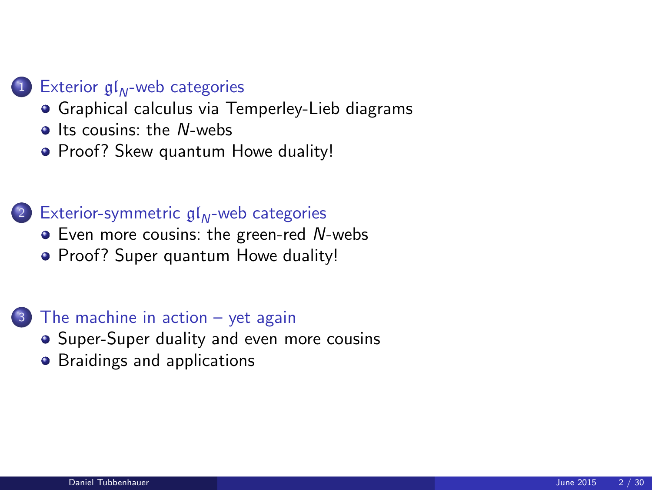#### Exterior  $\mathfrak{gl}_N$ [-web categories](#page-3-0)

- **•** [Graphical calculus via Temperley-Lieb diagrams](#page-3-0)
- $\bullet$  [Its cousins: the](#page-6-0) N-webs
- [Proof? Skew quantum Howe duality!](#page-9-0)

#### (2) [Exterior-symmetric](#page-12-0)  $\mathfrak{gl}_N$ -web categories

- [Even more cousins: the green-red](#page-12-0) N-webs
- [Proof? Super quantum Howe duality!](#page-15-0)

#### <sup>3</sup> [The machine in action – yet again](#page-18-0)

- [Super-Super duality and even more cousins](#page-18-0)
- **•** [Braidings and applications](#page-22-0)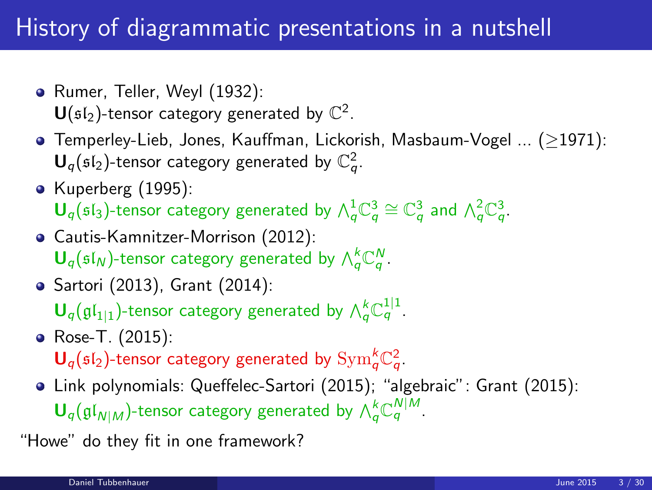## History of diagrammatic presentations in a nutshell

- Rumer, Teller, Weyl (1932):  $\mathsf{U}(\mathfrak{sl}_2)$ -tensor category generated by  $\mathbb{C}^2$ .
- Temperley-Lieb, Jones, Kauffman, Lickorish, Masbaum-Vogel ... (≥1971):  $\mathbf{U}_q(\mathfrak{sl}_2)$ -tensor category generated by  $\mathbb{C}_q^2$ .
- Kuperberg (1995):  $\mathbf{U}_q(\mathfrak{sl}_3)$ -tensor category generated by  $\wedge_q^1 \mathbb{C}_q^3 \cong \mathbb{C}_q^3$  and  $\wedge_q^2 \mathbb{C}_q^3$ .
- Cautis-Kamnitzer-Morrison (2012):  $\mathbf{U}_q(\mathfrak{sl}_N)$ -tensor category generated by  $\bigwedge_q^k \mathbb{C}_q^N$ .
- Sartori (2013), Grant (2014):

 $\mathbf{U}_q(\mathfrak{gl}_{1|1})$ -tensor category generated by  $\bigwedge^k_q \mathbb{C}^{1|1}_q$ .

- Rose-T. (2015):  $\mathbf{U}_q(\mathfrak{sl}_2)$ -tensor category generated by  $\mathrm{Sym}^k_q\mathbb{C}^2_q$ .
- Link polynomials: Queffelec-Sartori (2015); "algebraic": Grant (2015):  $\mathbf{U}_q(\mathfrak{gl}_{N|M})$ -tensor category generated by  $\bigwedge_q^k \mathbb{C}_q^{N|M}$ .

"Howe" do they fit in one framework?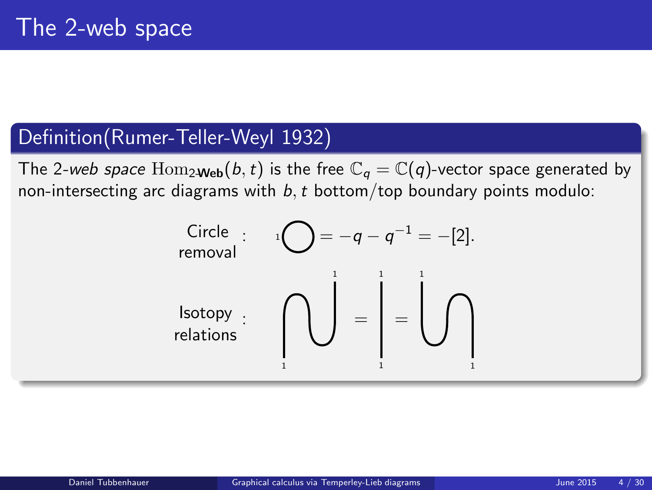#### Definition(Rumer-Teller-Weyl 1932)

The 2-web space  $\text{Hom}_{2\text{Web}}(b, t)$  is the free  $\mathbb{C}_q = \mathbb{C}(q)$ -vector space generated by non-intersecting arc diagrams with  $b, t$  bottom/top boundary points modulo:

<span id="page-3-0"></span>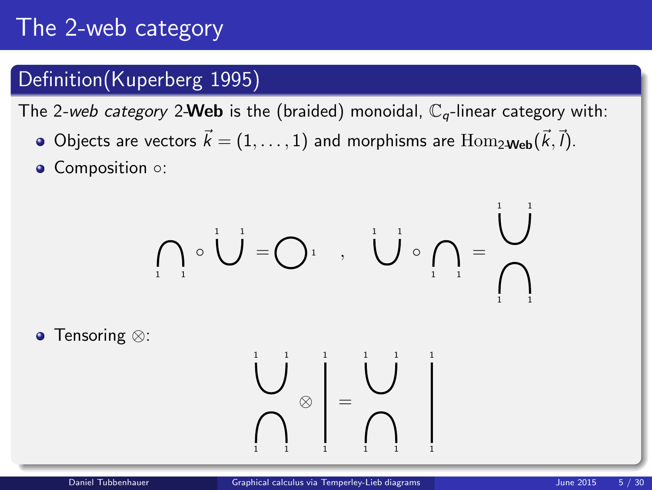# The 2-web category

#### Definition(Kuperberg 1995)

The 2-web category 2-Web is the (braided) monoidal,  $\mathbb{C}_q$ -linear category with:

- Objects are vectors  $\vec{k} = (1, \ldots, 1)$  and morphisms are  $\text{Hom}_{2\textbf{-Web}}(\vec{k}, \vec{l}).$
- Composition ○:

$$
\bigcap_{i=1}^{\infty} \circ \bigcup_{i=1}^{n} = \bigcap_{i=1}^{n} \dots \bigcup_{i=1}^{n} \circ \bigcap_{i=1}^{n} = \bigcap_{i=1}^{n} \bigcap_{i=1}^{n} = \bigcap_{i=1}^{n} = \bigcap_{i=1}^{n} = \bigcap_{i=1}^{n} = \bigcap_{i=1}^{n} = \bigcap_{i=1}^{n} = \bigcap_{i=1}^{n} = \bigcap_{i=1}^{n} = \bigcap_{i=1}^{n} = \bigcap_{i=1}^{n} = \bigcap_{i=1}^{n} = \bigcap_{i=1}^{n} = \bigcap_{i=1}^{n} = \bigcap_{i=1}^{n} = \bigcap_{i=1}^{n} = \bigcap_{i=1}^{n} = \bigcap_{i=1}^{n} = \bigcap_{i=1}^{n} = \bigcap_{i=1}^{n} = \bigcap_{i=1}^{n} = \bigcap_{i=1}^{n} = \bigcap_{i=1}^{n} = \bigcap_{i=1}^{n} = \bigcap_{i=1}^{n} = \bigcap_{i=1}^{n} = \bigcap_{i=1}^{n} = \bigcap_{i=1}^{n} = \bigcap_{i=1}^{n} = \bigcap_{i=1}^{n} = \bigcap_{i=1}^{n} = \bigcap_{i=1}^{n} = \bigcap_{i=1}^{n} = \bigcap_{i=1}^{n} = \bigcap_{i=1}^{n} = \bigcap_{i=1}^{n} = \bigcap_{i=1}^{n} = \bigcap_{i=1}^{n} = \bigcap_{i=1}^{n} = \bigcap_{i=1}^{n} = \bigcap_{i=1}^{n} = \bigcap_{i=1}^{n} = \bigcap_{i=1}^{n} = \bigcap_{i=1}^{n} = \bigcap_{i=1}^{n} = \bigcap_{i=1}^{n} = \bigcap_{i=1}^{n} = \bigcap_{i=1}^{n} = \bigcap_{i=1}^{n} = \bigcap_{i=1}^{n} = \bigcap_{i=1}^{n} = \bigcap_{i=1}^{n} = \bigcap_{i=1}^{n} = \bigcap_{i=1}^{n} = \bigcap_{i=1}^{n} = \bigcap_{i=1}^{n} = \bigcap_{i=1}^{n} = \bigcap_{i=1}^{n} =
$$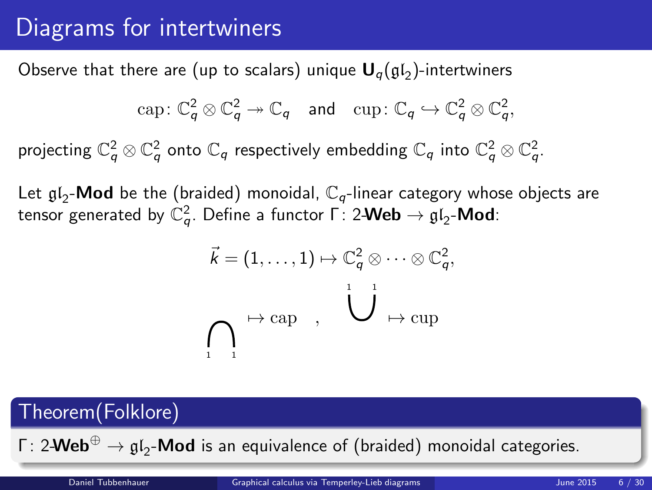# Diagrams for intertwiners

Observe that there are (up to scalars) unique  ${\bf U}_q(\mathfrak{gl}_2)$ -intertwiners

$$
\text{cap}: \mathbb{C}_q^2 \otimes \mathbb{C}_q^2 \to \mathbb{C}_q \quad \text{and} \quad \text{cup}: \mathbb{C}_q \hookrightarrow \mathbb{C}_q^2 \otimes \mathbb{C}_q^2,
$$

projecting  $\mathbb{C}_q^2\otimes\mathbb{C}_q^2$  onto  $\mathbb{C}_q$  respectively embedding  $\mathbb{C}_q$  into  $\mathbb{C}_q^2\otimes\mathbb{C}_q^2$ .

Let  $\mathfrak{gl}_2\text{-}\mathsf{Mod}$  be the (braided) monoidal,  $\mathbb{C}_q$ -linear category whose objects are tensor generated by  $\mathbb{C}_q^2.$  Define a functor Γ $:$  2-Web  $\rightarrow$   $\mathfrak{gl}_2\text{-}\mathsf{Mod}\text{:}$ 

$$
\vec{k} = (1, \ldots, 1) \mapsto \mathbb{C}_q^2 \otimes \cdots \otimes \mathbb{C}_q^2,
$$
  

$$
\bigcap_{i=1}^n \mapsto \text{cap} \quad , \quad \bigcup_{i=1}^n \mapsto \text{cup}
$$

# Theorem(Folklore) Γ: 2-Web $^{\oplus} \to {\mathfrak g}{\mathfrak l}_2$ -Mod is an equivalence of (braided) monoidal categories. Daniel Tubbenhauer [Graphical calculus via Temperley-Lieb diagrams](#page-3-0) June 2015 6 / 30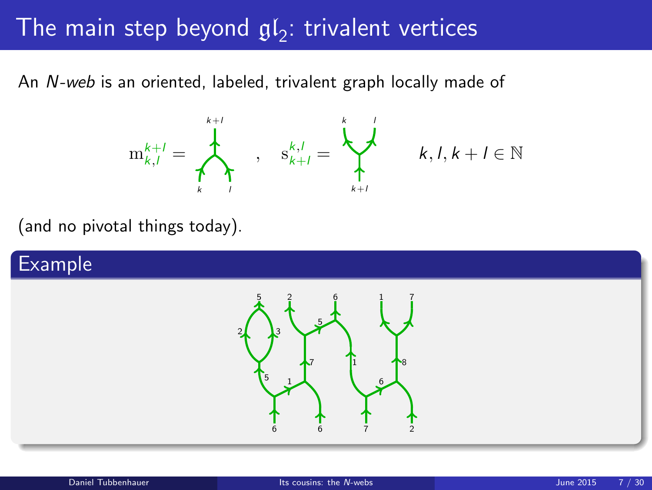# The main step beyond  ${\mathfrak {gl}}_2$ : trivalent vertices

An N-web is an oriented, labeled, trivalent graph locally made of



<span id="page-6-0"></span> $k, l, k+l \in \mathbb{N}$ 

(and no pivotal things today).

#### Example

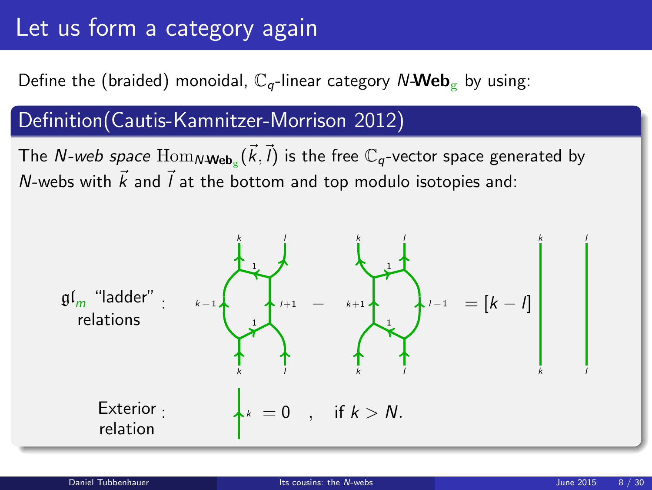# Let us form a category again

#### Define the (braided) monoidal,  $\mathbb{C}_q$ -linear category N-Web<sub>g</sub> by using:

#### Definition(Cautis-Kamnitzer-Morrison 2012)

The *N-web space*  $\operatorname{Hom}_{N\textbf{-Web}_g}(\vec{k},\vec{l})$  is the free  $\mathbb{C}_q$ -vector space generated by N-webs with  $\vec{k}$  and  $\vec{l}$  at the bottom and top modulo isotopies and:

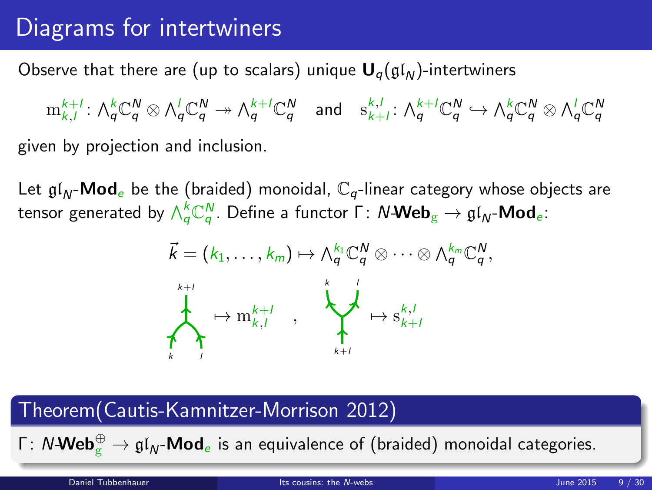# Diagrams for intertwiners

Observe that there are (up to scalars) unique  $U_{q}(\mathfrak{gl}_N)$ -intertwiners

 $\mathrm{m}^{k+l}_{k,l} \colon \bigwedge^k_q \mathbb{C}^N_q \otimes \bigwedge^l_q \mathbb{C}^N_q \twoheadrightarrow \bigwedge^{k+l}_q \mathbb{C}^N_q \quad \text{and} \quad \mathrm{s}^{k,l}_{k+l} \colon \bigwedge^{k+l}_q \mathbb{C}^N_q \hookrightarrow \bigwedge^k_q \mathbb{C}^N_q \otimes \bigwedge^l_q \mathbb{C}^N_q$ given by projection and inclusion.

Let  $\mathfrak{gl}_N$ -**Mod**e be the (braided) monoidal,  $\mathbb{C}_q$ -linear category whose objects are tensor generated by  $\wedge_Q^k\mathbb{C}_q^N.$  Define a functor  $\mathsf{\Gamma}\colon N\text{-}\mathsf{Web}_{\mathrm{g}} \to \mathfrak{gl}_N\text{-}\mathsf{Mod}_e$ :



#### Theorem(Cautis-Kamnitzer-Morrison 2012)

Γ: N-**Web** $_{\rm g}^{\oplus} \to {\mathfrak{gl}}_{\sf N}$ -**Mod** $_{\rm e}$  is an equivalence of (braided) monoidal categories.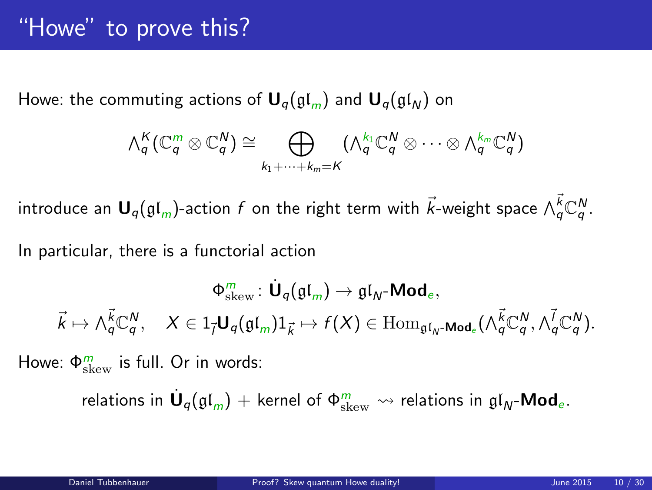Howe: the commuting actions of  $U_q(\mathfrak{gl}_m)$  and  $U_q(\mathfrak{gl}_N)$  on

$$
\wedge_q^K(\mathbb{C}_q^m \otimes \mathbb{C}_q^N) \cong \bigoplus_{k_1+\cdots+k_m=K} (\wedge_q^{k_1} \mathbb{C}_q^N \otimes \cdots \otimes \wedge_q^{k_m} \mathbb{C}_q^N)
$$

introduce an  $\bm{\mathsf{U}}_q(\mathfrak{gl}_m)$ -action  $f$  on the right term with  $\vec{k}$ -weight space  $\wedge^{\vec{k}}_q \mathbb{C}^N_q$ .

In particular, there is a functorial action

$$
\Phi_{\text{skew}}^m: \dot{\mathbf{U}}_q(\mathfrak{gl}_m) \to \mathfrak{gl}_N\text{-}\mathbf{Mod}_e, \\ \vec{k} \mapsto \wedge_q^{\vec{k}} \mathbb{C}_q^N, \quad X \in 1_{\vec{l}} \mathbf{U}_q(\mathfrak{gl}_m) 1_{\vec{k}} \mapsto f(X) \in \text{Hom}_{\mathfrak{gl}_N\text{-}\mathbf{Mod}_e}(\wedge_q^{\vec{k}} \mathbb{C}_q^N, \wedge_q^{\vec{l}} \mathbb{C}_q^N).
$$

Howe:  $\Phi_{\text{skew}}^{m}$  is full. Or in words:

<span id="page-9-0"></span>relations in  $\dot{\mathsf{U}}_q(\mathfrak{gl}_m)+$  kernel of  $\Phi^m_\mathrm{skew}\leadsto$  relations in  $\mathfrak{gl}_N\text{-}\mathsf{Mod}_e.$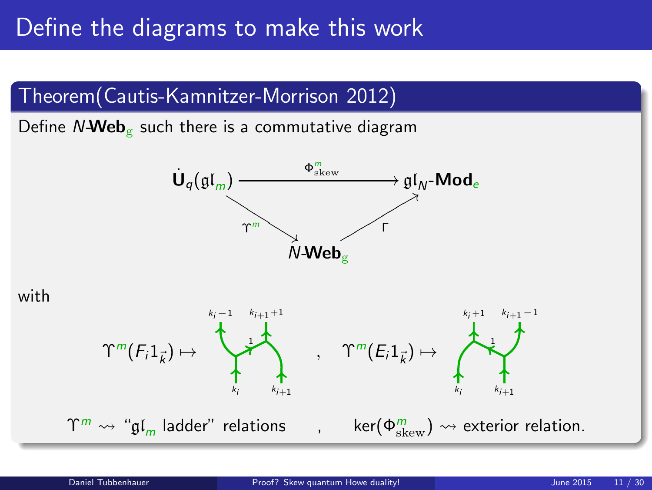### Define the diagrams to make this work



Define  $N\text{-}\text{Web}_{\mathcal{C}}$  such there is a commutative diagram





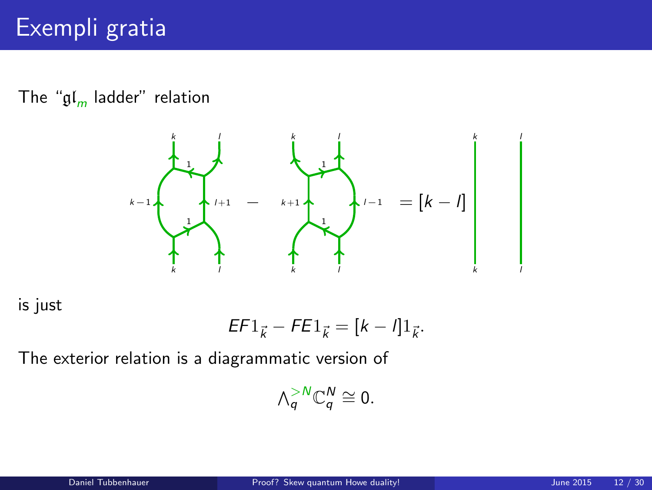#### The "gl<sub>m</sub> ladder" relation



is just

$$
EF1_{\vec{k}} - FE1_{\vec{k}} = [k - l]1_{\vec{k}}.
$$

The exterior relation is a diagrammatic version of

$$
\wedge_q^{>N}\mathbb{C}_q^N\cong 0.
$$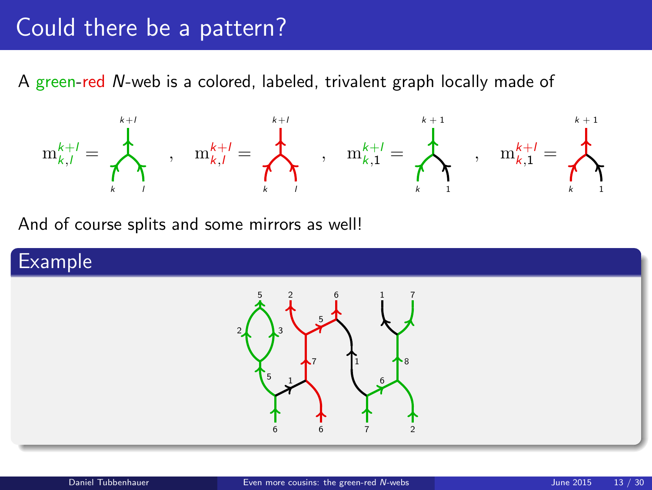### Could there be a pattern?

A green-red N-web is a colored, labeled, trivalent graph locally made of



And of course splits and some mirrors as well!

#### Example

<span id="page-12-0"></span>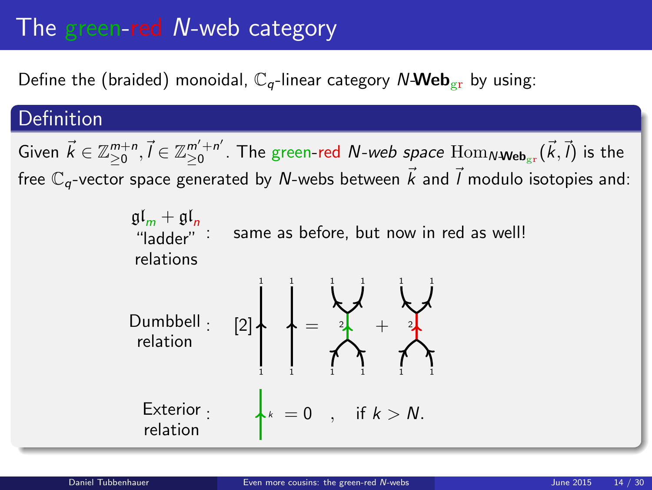# The green-red N-web category

Define the (braided) monoidal,  $\mathbb{C}_q$ -linear category N-Web<sub>gr</sub> by using:

#### Definition

Given  $\vec{k} \in \mathbb{Z}_{\geq 0}^{m+n}, \vec{l} \in \mathbb{Z}_{\geq 0}^{m'+n'}$  $_{\geq0}^{m'+n'}$ . The green-red  $N$ -web space  $\mathrm{Hom}_{N\textbf{-Web}_{\mathrm{gr}}}(\vec{k},\vec{l})$  is the free  $\mathbb{C}_q$ -vector space generated by N-webs between  $\vec{k}$  and  $\vec{l}$  modulo isotopies and:

> $\mathfrak{gl}_m + \mathfrak{gl}_n$ "ladder" relations same as before, but now in red as well!

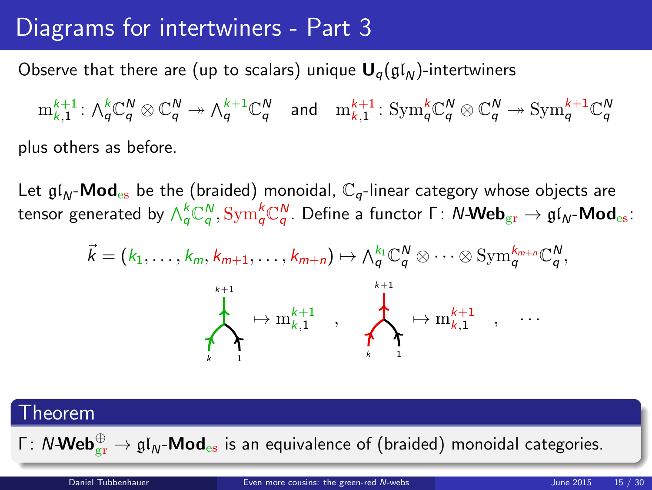### Diagrams for intertwiners - Part 3

Observe that there are (up to scalars) unique  $U_q(\mathfrak{gl}_N)$ -intertwiners

 $\mathrm{m}^{k+1}_{k,1}: \, \textstyle \bigwedge^{k}_\mathsf{q} \mathbb{C}^{\mathsf{N}}_\mathsf{q} \twoheadrightarrow \textstyle \bigwedge^{k+1}_\mathsf{q} \mathbb{C}^{\mathsf{N}}_\mathsf{q} \quad \text{and} \quad \mathrm{m}^{k+1}_{k,1}: \, \text{Sym}^{k}_\mathsf{q} \mathbb{C}^{\mathsf{N}}_\mathsf{q} \otimes \mathbb{C}^{\mathsf{N}}_\mathsf{q} \twoheadrightarrow \text{Sym}^{k+1}_\mathsf{q} \mathbb{C}^{\mathsf{N}}_\mathsf{q}$ plus others as before.

Let  $\mathfrak{gl}_N$ -**Mod**<sub>es</sub> be the (braided) monoidal,  $\mathbb{C}_q$ -linear category whose objects are tensor generated by  $\wedge_q^k$ C $_q^N$ ,  $\mathrm{Sym}_q^k$ C $_q^N$ . Define a functor Γ:  $N$ -Web $_{\mathrm{gr}}\to \mathfrak{gl}_N$ -Mod $_{\mathrm{es}}$ :

$$
\vec{k} = (k_1, \ldots, k_m, k_{m+1}, \ldots, k_{m+n}) \mapsto \wedge_q^{k_1} \mathbb{C}_q^N \otimes \cdots \otimes \mathrm{Sym}_q^{k_{m+n}} \mathbb{C}_q^N,
$$
\n
$$
\downarrow \qquad \qquad \downarrow \qquad \qquad \downarrow \qquad \qquad \downarrow \qquad \downarrow \qquad \downarrow \qquad \downarrow \qquad \downarrow \qquad \downarrow \qquad \downarrow \qquad \downarrow \qquad \downarrow \qquad \downarrow \qquad \downarrow \qquad \downarrow \qquad \downarrow \qquad \downarrow \qquad \downarrow \qquad \downarrow \qquad \downarrow \qquad \downarrow \qquad \downarrow \qquad \downarrow \qquad \downarrow \qquad \downarrow \qquad \downarrow \qquad \downarrow \qquad \downarrow \qquad \downarrow \qquad \downarrow \qquad \downarrow \qquad \downarrow \qquad \downarrow \qquad \downarrow \qquad \downarrow \qquad \downarrow \qquad \downarrow \qquad \downarrow \qquad \downarrow \qquad \downarrow \qquad \downarrow \qquad \downarrow \qquad \downarrow \qquad \downarrow \qquad \downarrow \qquad \downarrow \qquad \downarrow \qquad \downarrow \qquad \downarrow \qquad \downarrow \qquad \downarrow \qquad \downarrow \qquad \downarrow \qquad \downarrow \qquad \downarrow \qquad \downarrow \qquad \downarrow \qquad \downarrow \qquad \downarrow \qquad \downarrow \qquad \downarrow \qquad \downarrow \qquad \downarrow \qquad \downarrow \qquad \downarrow \qquad \downarrow \qquad \downarrow \qquad \downarrow \qquad \downarrow \qquad \downarrow \qquad \downarrow \qquad \downarrow \qquad \downarrow \qquad \downarrow \qquad \downarrow \qquad \downarrow \qquad \downarrow \qquad \downarrow \qquad \downarrow \qquad \downarrow \qquad \downarrow \qquad \downarrow \qquad \downarrow \qquad \downarrow \qquad \downarrow \qquad \downarrow \qquad \downarrow \qquad \downarrow \qquad \downarrow \qquad \downarrow \qquad \downarrow \qquad \downarrow \qquad \downarrow \qquad \downarrow \qquad \downarrow \qquad \downarrow \qquad \downarrow \qquad \downarrow \qquad \downarrow \qquad \downarrow \qquad \downarrow \qquad \downarrow \qquad \downarrow \qquad \downarrow \qquad \downarrow \qquad \downarrow \qquad \downarrow \qquad \downarrow \qquad \downarrow \qquad \downarrow \q
$$

| Theorem                                                                                                                      |                                         |           |         |
|------------------------------------------------------------------------------------------------------------------------------|-----------------------------------------|-----------|---------|
| $\Gamma: N\text{-Web}_{gr}^{\oplus} \to \mathfrak{gl}_N\text{-Mod}_{es}$ is an equivalence of (braided) monoidal categories. |                                         |           |         |
| Daniel Tubbenhauer                                                                                                           | Even more cousins: the green-red M-webs | June 2015 | 15 / 30 |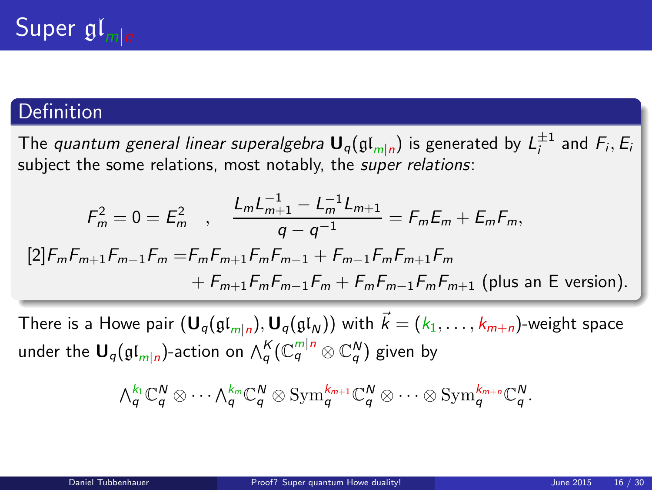#### Definition

The *quantum general linear superalgebra*  ${\sf U}_q(\mathfrak{gl}_{m|n})$  is generated by  $L_i^{\pm 1}$  and  $F_i, E_i$ subiect the some relations, most notably, the super relations:

$$
F_m^2 = 0 = E_m^2 \quad , \quad \frac{L_m L_{m+1}^{-1} - L_m^{-1} L_{m+1}}{q - q^{-1}} = F_m E_m + E_m F_m,
$$
  
\n[2]  $F_m F_{m+1} F_{m-1} F_m = F_m F_{m+1} F_m F_{m-1} + F_{m-1} F_m F_{m+1} F_m$   
\n $+ F_{m+1} F_m F_{m-1} F_m + F_m F_{m-1} F_m F_{m+1}$  (plus an E version).

There is a Howe pair  $({\bf U}_q(\mathfrak{gl}_{m|n}), {\bf U}_q(\mathfrak{gl}_N))$  with  $\vec{k} = (k_1, \ldots, k_{m+n})$ -weight space under the  $\mathsf{U}_q(\mathfrak{gl}_{m|n})$ -action on  $\wedge_q^K(\mathbb{C}_q^{m|n} \otimes \mathbb{C}_q^N)$  given by

<span id="page-15-0"></span>
$$
\textstyle{\textstyle\bigwedge}^{k_1}_{q}\mathbb{C}_q^N\otimes\cdots\textstyle\textstyle\bigwedge^{k_m}_{q}\mathbb{C}_q^N\otimes\text{Sym}^{k_{m+1}}_{q}\mathbb{C}_q^N\otimes\cdots\otimes\text{Sym}^{k_{m+n}}_{q}\mathbb{C}_q^N.
$$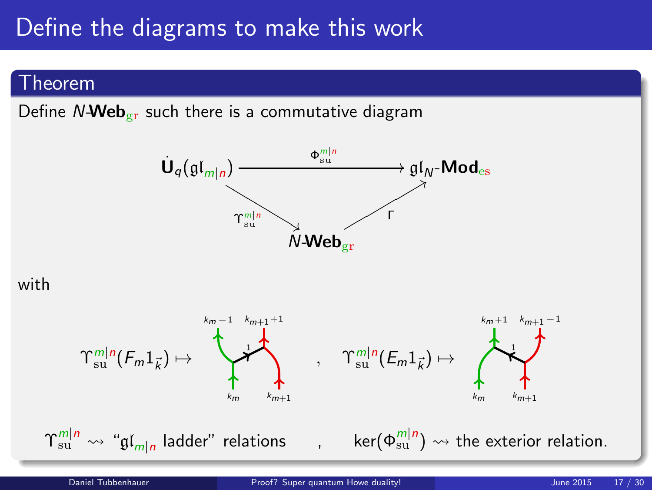### Define the diagrams to make this work

#### Theorem

Define  $N$ -Web<sub>gr</sub> such there is a commutative diagram



#### with

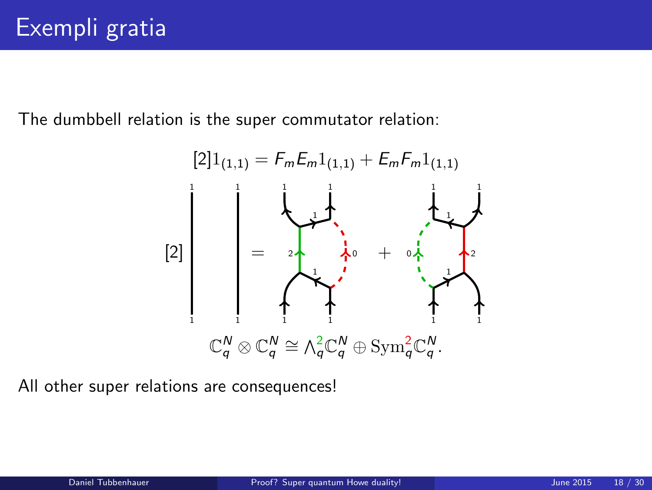The dumbbell relation is the super commutator relation:



All other super relations are consequences!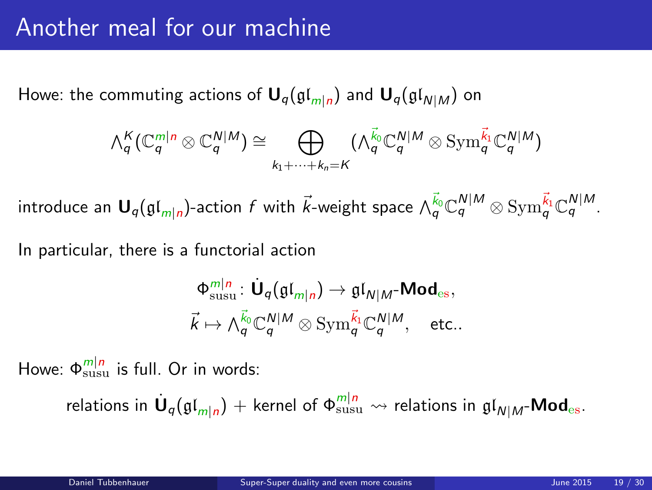### Another meal for our machine

Howe: the commuting actions of  ${\mathbf U}_q(\mathfrak{gl}_{m|n})$  and  ${\mathbf U}_q(\mathfrak{gl}_{N|M})$  on

$$
\textstyle \bigwedge_q^K(\mathbb{C}_q^{m|n} \otimes \mathbb{C}_q^{N|M}) \cong \bigoplus_{k_1 + \cdots + k_n = K} (\textstyle \bigwedge_q^{\vec{k}_0} \mathbb{C}_q^{N|M} \otimes \text{Sym}_q^{\vec{k}_1} \mathbb{C}_q^{N|M})
$$

introduce an  $\bm{\mathsf{U}}_q(\mathfrak{gl}_{m|n})$ -action  $f$  with  $\vec{k}$ -weight space  $\wedge_q^{\vec{k}_0}\mathbb{C}_q^{N|M}\otimes\mathrm{Sym}_q^{\vec{k}_1}\mathbb{C}_q^{N|M}.$ 

In particular, there is a functorial action

<span id="page-18-0"></span>
$$
\begin{aligned}\n\Phi_{\text{susu}}^{m|n} : \dot{\mathbf{U}}_q(\mathfrak{gl}_{m|n}) &\rightarrow \mathfrak{gl}_{N|M} \text{-}\mathbf{Mod}_{\text{es}}, \\
\vec{k} &\mapsto \bigwedge_q^{\vec{k}_0} \mathbb{C}_q^{N|M} \otimes \text{Sym}_q^{\vec{k}_1} \mathbb{C}_q^{N|M}, \quad \text{etc.}.\n\end{aligned}
$$

Howe:  $\Phi_{\text{susu}}^{m|n}$  is full. Or in words:

relations in 
$$
\dot{\mathbf{U}}_q(\mathfrak{gl}_{m|n})
$$
 + Kernel of  $\Phi_{\text{susu}}^{m|n}$   $\leadsto$  relations in  $\mathfrak{gl}_{N|M}$ -**Mod**<sub>es</sub>.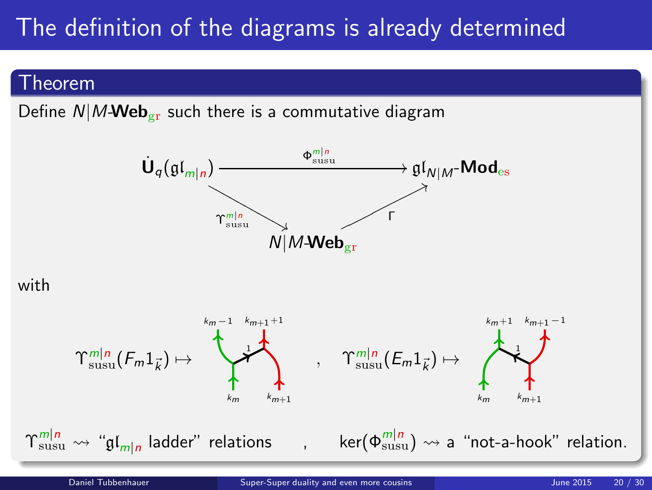# The definition of the diagrams is already determined

#### Theorem

Define  $N/M$ -Web<sub>er</sub> such there is a commutative diagram

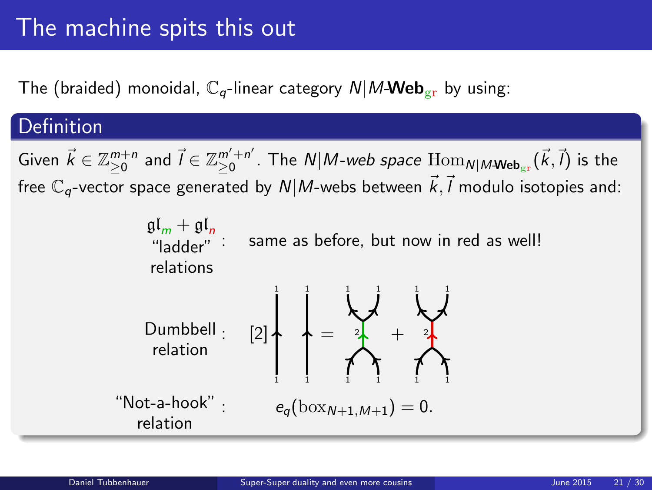# The machine spits this out

The (braided) monoidal,  $\mathbb{C}_q$ -linear category  $N/M$ -Web<sub>er</sub> by using:

#### **Definition**

Given  $\vec{k} \in \mathbb{Z}_{\geq 0}^{m+n}$  and  $\vec{l} \in \mathbb{Z}_{\geq 0}^{m'+n'}$  $_{\geq0}^{m'+n'}$ . The  $\mathcal{N}|M$ -web space  $\mathrm{Hom}_{\mathcal{N}|M}$ -web $_{\mathrm{gr}}(\vec{k},\vec{l})$  is the free  $\mathbb{C}_q$ -vector space generated by  $\mathcal{N}|M$ -webs between  $\vec{k},\vec{l}$  modulo isotopies and:

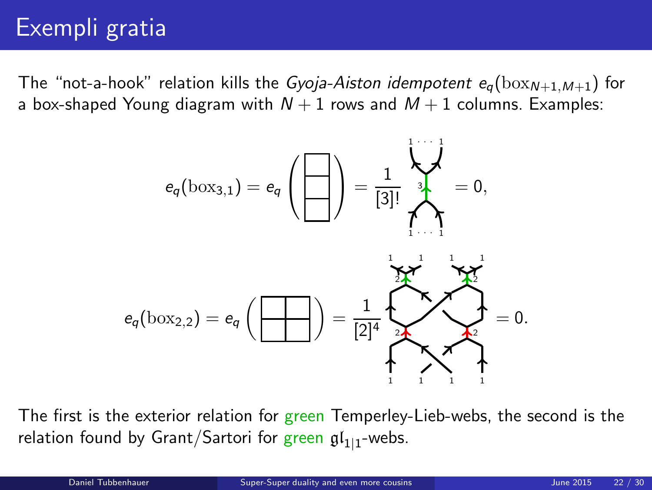# Exempli gratia

The "not-a-hook" relation kills the *Gyoja-Aiston idempotent*  $e_{\alpha}$ (box<sub>N+1,M+1</sub>) for a box-shaped Young diagram with  $N + 1$  rows and  $M + 1$  columns. Examples:



The first is the exterior relation for green Temperley-Lieb-webs, the second is the relation found by Grant/Sartori for green  $\mathfrak{gl}_{1|1}$ -webs.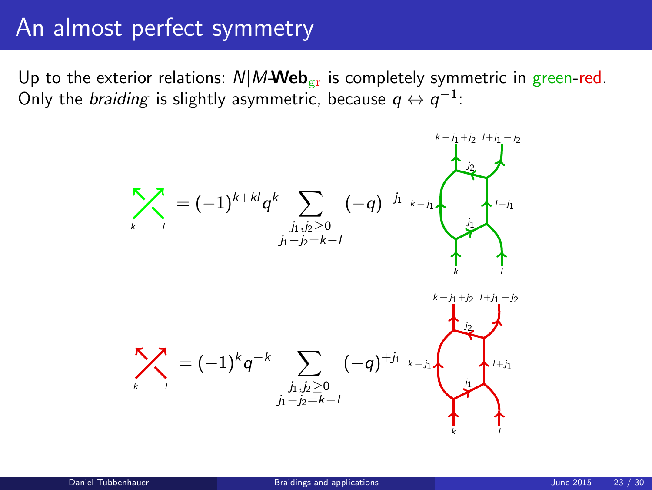### An almost perfect symmetry

Up to the exterior relations:  $N|M$ Web<sub>gr</sub> is completely symmetric in green-red. Only the *braiding* is slightly asymmetric, because  $q \leftrightarrow q^{-1}$ :

<span id="page-22-0"></span>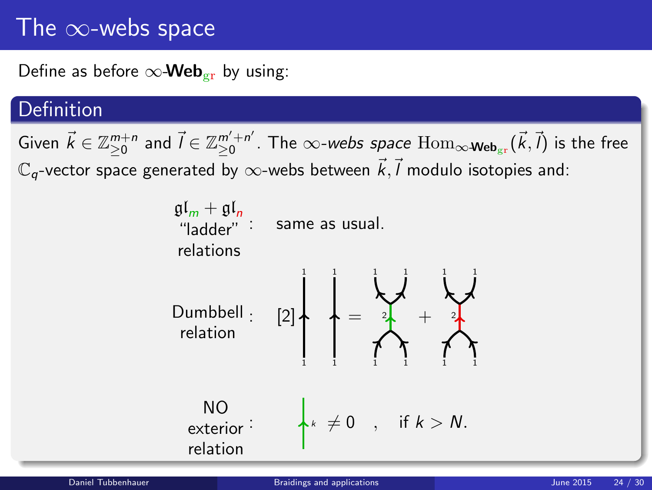# The  $\infty$ -webs space

Define as before  $\infty$ -Web<sub>gr</sub> by using:

#### Definition

Given  $\vec{k} \in \mathbb{Z}_{\geq 0}^{m+n}$  and  $\vec{l} \in \mathbb{Z}_{\geq 0}^{m'+n'}$  $_{\geq0}^{m'+n'}$ . The  $\infty$ -*webs space*  $\mathrm{Hom}_{\infty\text{-}\mathsf{Web}_{\mathrm{gr}}}(\vec{k},\vec{l})$  is the free  $\mathbb{C}_q$ -vector space generated by  $\infty$ -webs between  $\vec{k},\vec{l}$  modulo isotopies and:

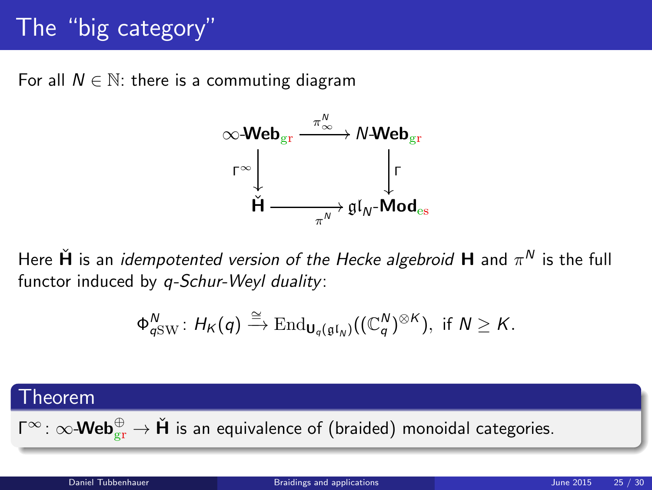# The "big category"

For all  $N \in \mathbb{N}$ : there is a commuting diagram



Here  $\check{\bm{\mathsf{H}}}$  is an *idempotented version of the Hecke algebroid*  $\bm{\mathsf{H}}$  and  $\pi^{\textsf{N}}$  is the full functor induced by q-Schur-Weyl duality:

$$
\Phi_{q{\rm SW}}^N\colon H_K(q)\xrightarrow{\cong} {\rm End}_{\mathbf{U}_q(\mathfrak{gl}_N)}((\mathbb{C}_q^N)^{\otimes K}),\,\,\text{if}\,\, N\ge K.
$$

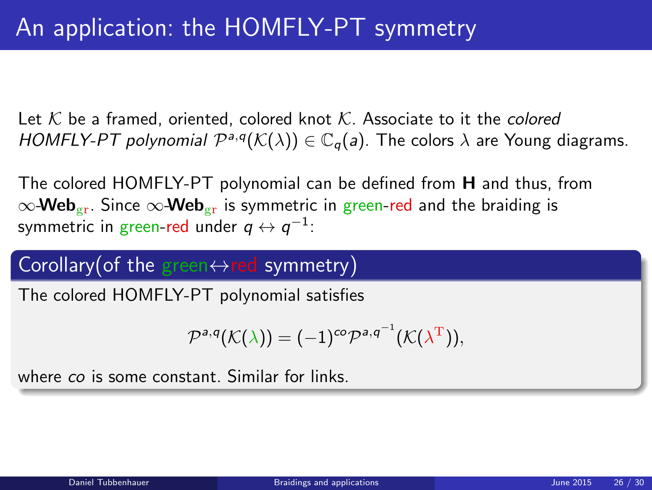Let K be a framed, oriented, colored knot K. Associate to it the *colored* HOMFLY-PT polynomial  $\mathcal{P}^{a,q}(\mathcal{K}(\lambda)) \in \mathbb{C}_q(a)$ . The colors  $\lambda$  are Young diagrams.

The colored HOMFLY-PT polynomial can be defined from H and thus, from  $\infty$ -Web<sub>gr</sub>. Since  $\infty$ -Web<sub>gr</sub> is symmetric in green-red and the braiding is symmetric in green-red under  $q\leftrightarrow q^{-1}$ :

#### Corollary(of the green $\leftrightarrow$ red symmetry)

The colored HOMFLY-PT polynomial satisfies

$$
\mathcal{P}^{a,q}(\mathcal{K}(\lambda)) = (-1)^{co} \mathcal{P}^{a,q^{-1}}(\mathcal{K}(\lambda^{T})),
$$

where co is some constant. Similar for links.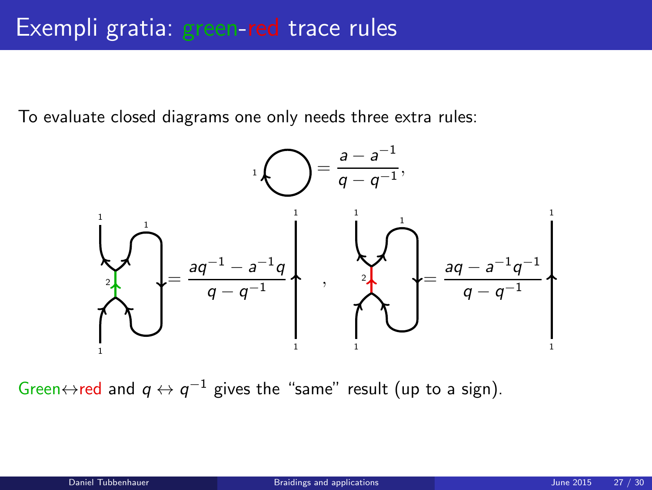To evaluate closed diagrams one only needs three extra rules:



Green $\leftrightarrow$ red and  $q \leftrightarrow q^{-1}$  gives the "same" result (up to a sign).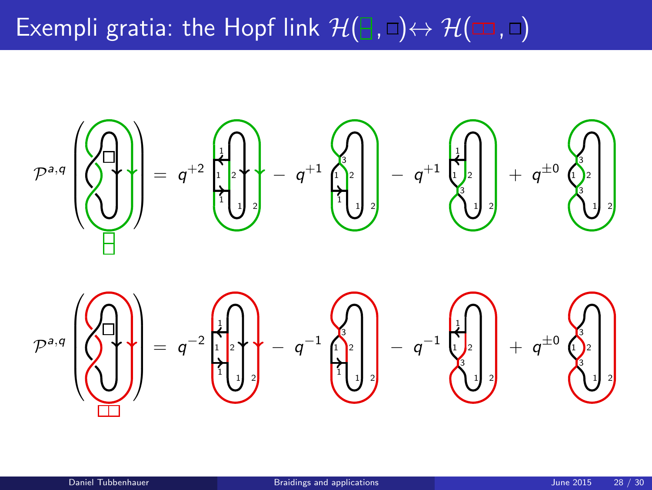# Exempli gratia: the Hopf link  $\mathcal{H}(\mathbb{B}, \Box) \leftrightarrow \mathcal{H}(\Box, \Box)$

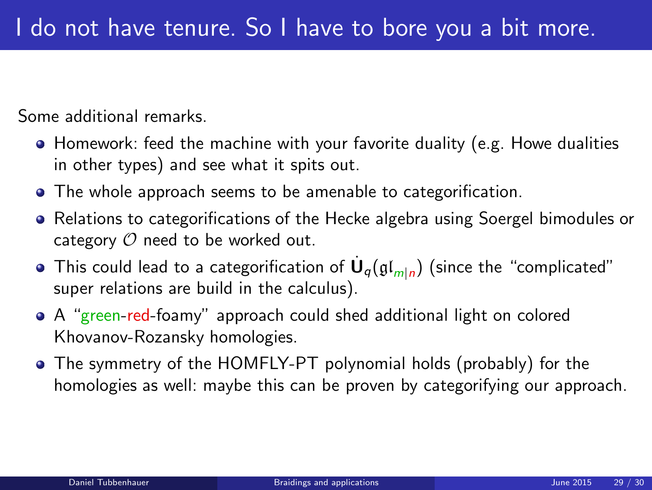Some additional remarks.

- Homework: feed the machine with your favorite duality (e.g. Howe dualities in other types) and see what it spits out.
- The whole approach seems to be amenable to categorification.
- Relations to categorifications of the Hecke algebra using Soergel bimodules or category  $O$  need to be worked out.
- This could lead to a categorification of  $\dot{\mathsf{U}}_q(\mathfrak{gl}_{m|n})$  (since the "complicated" super relations are build in the calculus).
- A "green-red-foamy" approach could shed additional light on colored Khovanov-Rozansky homologies.
- The symmetry of the HOMFLY-PT polynomial holds (probably) for the homologies as well: maybe this can be proven by categorifying our approach.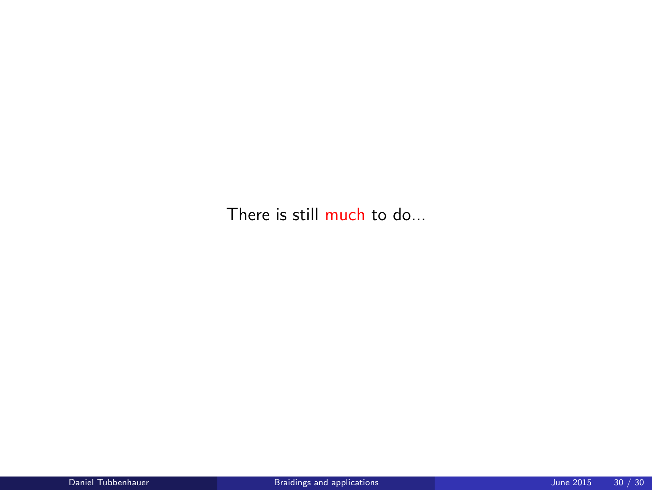There is still much to do...